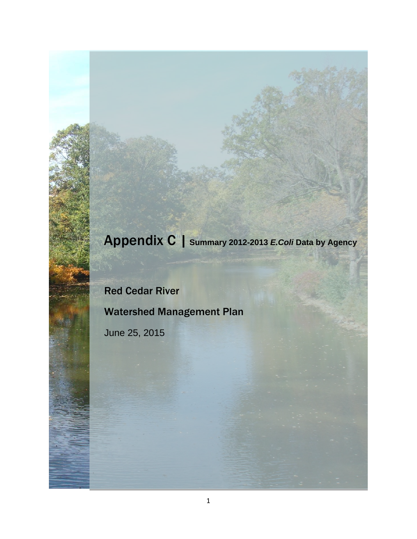## Appendix C | **Summary 2012-2013** *E.Coli* **Data by Agency**

# Red Cedar River Watershed Management Plan

June 25, 2015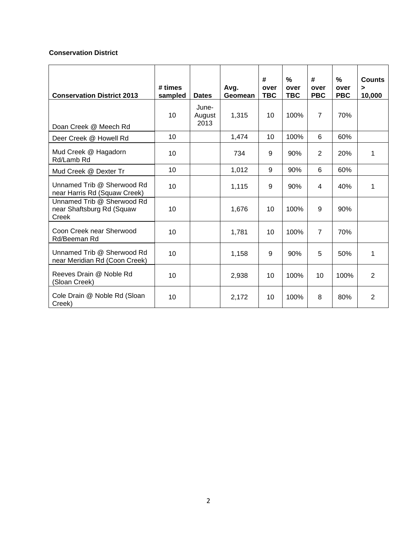#### **Conservation District**

| <b>Conservation District 2013</b>                                | # times<br>sampled | <b>Dates</b>            | Avg.<br>Geomean | #<br>over<br><b>TBC</b> | $\frac{9}{6}$<br>over<br><b>TBC</b> | #<br>over<br><b>PBC</b> | $\frac{9}{6}$<br>over<br><b>PBC</b> | <b>Counts</b><br>><br>10,000 |
|------------------------------------------------------------------|--------------------|-------------------------|-----------------|-------------------------|-------------------------------------|-------------------------|-------------------------------------|------------------------------|
| Doan Creek @ Meech Rd                                            | 10                 | June-<br>August<br>2013 | 1,315           | 10                      | 100%                                | $\overline{7}$          | 70%                                 |                              |
| Deer Creek @ Howell Rd                                           | 10                 |                         | 1,474           | 10                      | 100%                                | 6                       | 60%                                 |                              |
| Mud Creek @ Hagadorn<br>Rd/Lamb Rd                               | 10                 |                         | 734             | 9                       | 90%                                 | 2                       | 20%                                 | 1                            |
| Mud Creek @ Dexter Tr                                            | 10                 |                         | 1,012           | 9                       | 90%                                 | 6                       | 60%                                 |                              |
| Unnamed Trib @ Sherwood Rd<br>near Harris Rd (Squaw Creek)       | 10                 |                         | 1,115           | 9                       | 90%                                 | 4                       | 40%                                 | 1                            |
| Unnamed Trib @ Sherwood Rd<br>near Shaftsburg Rd (Squaw<br>Creek | 10                 |                         | 1,676           | 10                      | 100%                                | 9                       | 90%                                 |                              |
| Coon Creek near Sherwood<br>Rd/Beeman Rd                         | 10                 |                         | 1,781           | 10                      | 100%                                | $\overline{7}$          | 70%                                 |                              |
| Unnamed Trib @ Sherwood Rd<br>near Meridian Rd (Coon Creek)      | 10                 |                         | 1,158           | 9                       | 90%                                 | 5                       | 50%                                 | 1                            |
| Reeves Drain @ Noble Rd<br>(Sloan Creek)                         | 10                 |                         | 2,938           | 10                      | 100%                                | 10                      | 100%                                | $\overline{2}$               |
| Cole Drain @ Noble Rd (Sloan<br>Creek)                           | 10                 |                         | 2,172           | 10                      | 100%                                | 8                       | 80%                                 | $\overline{2}$               |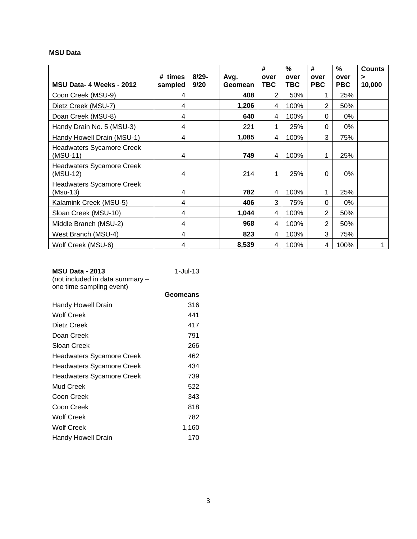#### **MSU Data**

|                                              |                    |                  |                 | #           | $\frac{0}{0}$ | #                  | %                  | <b>Counts</b> |
|----------------------------------------------|--------------------|------------------|-----------------|-------------|---------------|--------------------|--------------------|---------------|
| MSU Data- 4 Weeks - 2012                     | # times<br>sampled | $8/29 -$<br>9/20 | Avg.<br>Geomean | over<br>TBC | over<br>TBC   | over<br><b>PBC</b> | over<br><b>PBC</b> | ><br>10,000   |
| Coon Creek (MSU-9)                           | 4                  |                  | 408             | 2           | 50%           |                    | 25%                |               |
| Dietz Creek (MSU-7)                          | 4                  |                  | 1,206           | 4           | 100%          | $\overline{2}$     | 50%                |               |
| Doan Creek (MSU-8)                           | 4                  |                  | 640             | 4           | 100%          | 0                  | 0%                 |               |
| Handy Drain No. 5 (MSU-3)                    | 4                  |                  | 221             | 1           | 25%           | 0                  | 0%                 |               |
| Handy Howell Drain (MSU-1)                   | 4                  |                  | 1,085           | 4           | 100%          | 3                  | 75%                |               |
| <b>Headwaters Sycamore Creek</b><br>(MSU-11) | 4                  |                  | 749             | 4           | 100%          | 4                  | 25%                |               |
| <b>Headwaters Sycamore Creek</b><br>(MSU-12) | 4                  |                  | 214             | 1           | 25%           | 0                  | $0\%$              |               |
| <b>Headwaters Sycamore Creek</b><br>(Msu-13) | 4                  |                  | 782             | 4           | 100%          |                    | 25%                |               |
| Kalamink Creek (MSU-5)                       | 4                  |                  | 406             | 3           | 75%           | 0                  | 0%                 |               |
| Sloan Creek (MSU-10)                         | 4                  |                  | 1,044           | 4           | 100%          | $\overline{2}$     | 50%                |               |
| Middle Branch (MSU-2)                        | 4                  |                  | 968             | 4           | 100%          | $\overline{2}$     | 50%                |               |
| West Branch (MSU-4)                          | 4                  |                  | 823             | 4           | 100%          | 3                  | 75%                |               |
| Wolf Creek (MSU-6)                           | 4                  |                  | 8,539           | 4           | 100%          | 4                  | 100%               |               |

| <b>MSU Data - 2013</b><br>(not included in data summary -<br>one time sampling event) | $1 -$ Jul-13 |
|---------------------------------------------------------------------------------------|--------------|
|                                                                                       | Geomeans     |
| Handy Howell Drain                                                                    | 316          |
| Wolf Creek                                                                            | 441          |
| Dietz Creek                                                                           | 417          |
| Doan Creek                                                                            | 791          |
| Sloan Creek                                                                           | 266          |
| <b>Headwaters Sycamore Creek</b>                                                      | 462          |
| <b>Headwaters Sycamore Creek</b>                                                      | 434          |
| <b>Headwaters Sycamore Creek</b>                                                      | 739          |

| <b>Headwaters Sycamore Creek</b> | 434   |
|----------------------------------|-------|
| <b>Headwaters Sycamore Creek</b> | 739   |
| Mud Creek                        | 522   |
| Coon Creek                       | 343   |
| Coon Creek                       | 818   |
| <b>Wolf Creek</b>                | 782   |
| <b>Wolf Creek</b>                | 1,160 |
| <b>Handy Howell Drain</b>        | 170   |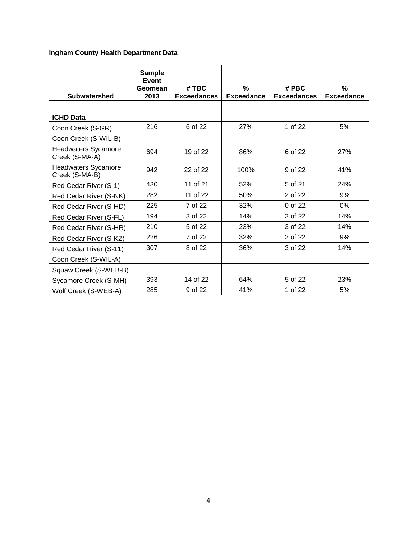### **Ingham County Health Department Data**

| <b>Subwatershed</b>                          | <b>Sample</b><br>Event<br>Geomean<br>2013 | # TBC<br><b>Exceedances</b> | %<br><b>Exceedance</b> | # PBC<br><b>Exceedances</b> | %<br><b>Exceedance</b> |
|----------------------------------------------|-------------------------------------------|-----------------------------|------------------------|-----------------------------|------------------------|
|                                              |                                           |                             |                        |                             |                        |
| <b>ICHD Data</b>                             |                                           |                             |                        |                             |                        |
| Coon Creek (S-GR)                            | 216                                       | 6 of 22                     | 27%                    | 1 of 22                     | 5%                     |
| Coon Creek (S-WIL-B)                         |                                           |                             |                        |                             |                        |
| <b>Headwaters Sycamore</b><br>Creek (S-MA-A) | 694                                       | 19 of 22                    | 86%                    | 6 of 22                     | 27%                    |
| <b>Headwaters Sycamore</b><br>Creek (S-MA-B) | 942                                       | 22 of 22                    | 100%                   | 9 of 22                     | 41%                    |
| Red Cedar River (S-1)                        | 430                                       | 11 of 21                    | 52%                    | 5 of 21                     | 24%                    |
| Red Cedar River (S-NK)                       | 282                                       | 11 of 22                    | 50%                    | 2 of 22                     | 9%                     |
| Red Cedar River (S-HD)                       | 225                                       | 7 of 22                     | 32%                    | 0 of 22                     | $0\%$                  |
| Red Cedar River (S-FL)                       | 194                                       | 3 of 22                     | 14%                    | 3 of 22                     | 14%                    |
| Red Cedar River (S-HR)                       | 210                                       | 5 of 22                     | 23%                    | 3 of 22                     | 14%                    |
| Red Cedar River (S-KZ)                       | 226                                       | 7 of 22                     | 32%                    | 2 of 22                     | 9%                     |
| Red Cedar River (S-11)                       | 307                                       | 8 of 22                     | 36%                    | 3 of 22                     | 14%                    |
| Coon Creek (S-WIL-A)                         |                                           |                             |                        |                             |                        |
| Squaw Creek (S-WEB-B)                        |                                           |                             |                        |                             |                        |
| Sycamore Creek (S-MH)                        | 393                                       | 14 of 22                    | 64%                    | 5 of 22                     | 23%                    |
| Wolf Creek (S-WEB-A)                         | 285                                       | 9 of 22                     | 41%                    | 1 of 22                     | 5%                     |